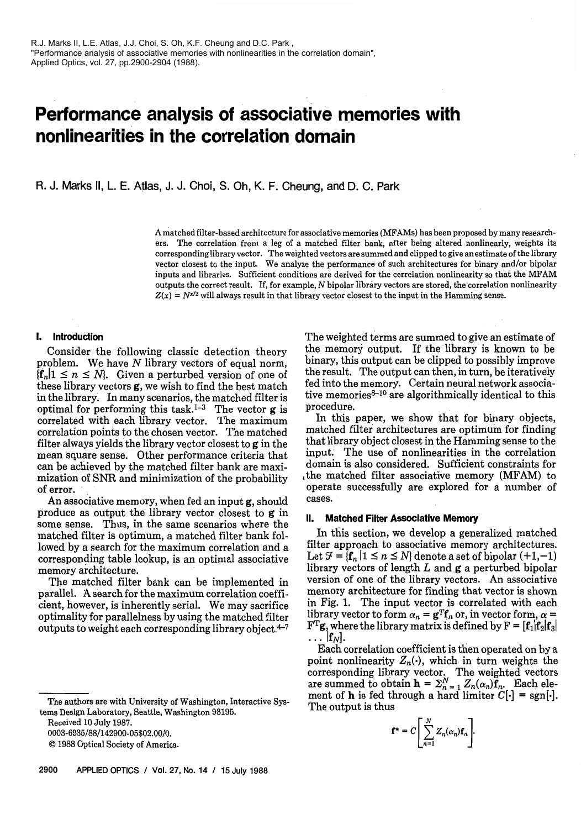# **Performance analysis of associative memories with nonlinearities in the correlation domain**

R. J. Marks II, L. E. Atlas, J. J. Choi, S. Oh, K. F. Cheung, and D. C. Park

A matched filter-based architecture for associative memories (MFAMs) has been proposed by many researchers. The correlation from a leg of a matched filter bank, after being altered nonlinearly, weights its corresponding library vector. The weighted vectors are summed and clipped to give an estimate of the library vector closest to the input. We analyze the performance of such architectures for binary and/or bipolar inputs and libraries. Sufficient conditions are derived for the correlation nonlinearity so that the MFAM outputs the correct result. If, for example, N bipolar library vectors are stored, the'correlation nonlinearity  $Z(x) = N^{x/2}$  will always result in that library vector closest to the input in the Hamming sense.

## **I. Introduction**

Consider the following classic detection theory problem. We have N library vectors of equal norm,  ${f_n|1 \leq n \leq N}$ . Given a perturbed version of one of these library vectors g, we wish to find the best match in the library. In many scenarios, the matched filter is optimal for performing this task.<sup>1-3</sup> The vector  $g$  is correlated with each library vector. The maximum correlation points to the chosen vector. The matched filter always yields the library vector closest to  $g$  in the mean square sense. Other performance criteria that can be achieved by the matched filter bank are maximization of SNR and minimization of the probability of error.

An associative memory, when fed an input g, should produce as output the library vector closest to g in some sense. Thus, in the same scenarios where the matched filter is optimum, a matched filter bank followed by a search for the maximum correlation and a corresponding table lookup, is an optimal associative memory architecture.

The matched filter bank can be implemented in parallel. **A** search for the maximum correlation coefficient, however, is inherently serial. We may sacrifice optimality for parallelness by using the matched filter outputs to weight each corresponding library object. $4-7$ 

Received 10 July 1987.

0003-6935/88/142900-05\$02.00/0.

O 1988 Optical Society of America.

**2900 APPLIED OPTICS** I **Vol. 27, No. 14** I **15 July 1988** 

The weighted terms are summed to give an estimate of the memory output. If the library is known to be binary, this output can be clipped to possibly improve the result. The output can then, in turn, be iteratively fed into the memory. Certain neural network associative memories $8-10$  are algorithmically identical to this procedure.

In this paper, we show that for binary objects, matched filter architectures are optimum for finding that library object closest in the Hamming sense to the input. The use of nonlinearities in the correlation domain is also considered. Sufficient constraints for ,the matched filter associative memory (MFAM) to operate successfully are explored for a number of cases.

#### **II. Matched Filter Associative Memory**

In this section, we develop a generalized matched filter approach to associative memory architectures. Let  $\mathcal{F} = \{f_n | 1 \le n \le N\}$  denote a set of bipolar  $(+1,-1)$ library vectors of length  $L$  and  $g$  a perturbed bipolar version of one of the library vectors. An associative memory architecture for finding that vector is shown in Fig. 1. The input vector is correlated with each library vector to form  $\alpha_n = \mathbf{g}^T \mathbf{f}_n$  or, in vector form,  $\alpha =$  $\mathbf{F}^{\mathrm{T}}\mathbf{g}$ , where the library matrix is defined by  $\mathbf{F} = [\mathbf{f}_1 | \mathbf{f}_2 | \mathbf{f}_3]$ .  $|{\bf f}_N|$ .

Each correlation coefficient is then operated on by a point nonlinearity  $Z_n(\cdot)$ , which in turn weights the corresponding library vector. The weighted vectors are summed to obtain  $h = \sum_{n=1}^{N} Z_n(\alpha_n) f_n$ . Each ele-The authors are with University of Washington, Interactive Sys-<br>The output is thus<br>Distinct a basely of Washington, Interactive Sys-<br>The output is thus

$$
\mathbf{f}^* = C \left[ \sum_{n=1}^N Z_n(\alpha_n) \mathbf{f}_n \right]
$$

tems Design Laboratory, Seattle, Washington 98195.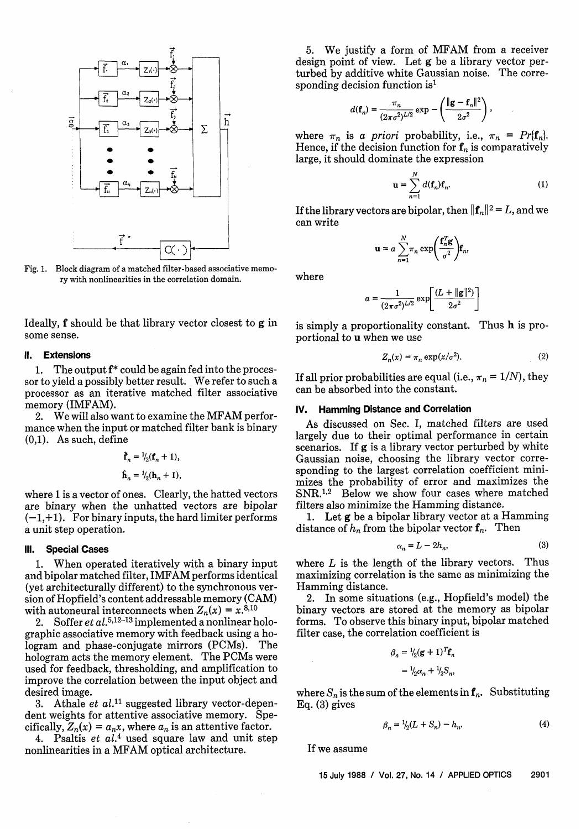

Fig. 1. Block diagram of a matched filter-based associative memory with nonlinearities in the correlation domain. Where

Ideally, f should be that library vector closest to g in some sense.

# **II. Extensions**

1. The output **f\*** could be again fed into the processor to yield a possibly better result. We refer to such a processor as an iterative matched filter associative memory (IMFAM).

2. We will also want to examine the MFAM performance when the input or matched filter bank is binary (0,l). As such, define

$$
\hat{\mathbf{f}}_n = \frac{1}{2}(\mathbf{f}_n + 1),
$$
  

$$
\hat{\mathbf{h}}_n = \frac{1}{2}(\mathbf{h}_n + 1),
$$

where 1 is a vector of ones. Clearly, the hatted vectors are binary when the unhatted vectors are bipolar  $(-1,+1)$ . For binary inputs, the hard limiter performs a unit step operation.

## **Ill. Special Cases**

1. When operated iteratively with a binary input and bipolar matched filter, IMFAM performs identical (yet architecturally different) to the synchronous version of Hopfield's content addressable memory (CAM) with autoneural interconnects when  $Z_n(x) = x^{8,10}$ 

2. Soffer et  $al.5,12-13$  implemented a nonlinear holographic associative memory with feedback using a hologram and phase-conjugate mirrors (PCMs). The hologram acts the memory element. The PCMs were used for feedback, thresholding, and amplification to improve the correlation between the input object and desired image.

3. Athale *et*  $al.^{11}$  suggested library vector-dependent weights for attentive associative memory. Specifically,  $Z_n(x) = a_n x$ , where  $a_n$  is an attentive factor.

4. Psaltis  $et~al.^4$  used square law and unit step nonlinearities in a MFAM optical architecture.

5. We justify a form of MFAM from a receiver design point of view. Let g be a library vector perturbed by additive white Gaussian noise. The corresponding decision function is<sup>1</sup>

$$
d(\mathbf{f}_n) = \frac{\pi_n}{(2\pi\sigma^2)^{L/2}} \exp \left(-\frac{\|\mathbf{g} - \mathbf{f}_n\|^2}{2\sigma^2}\right),
$$

where  $\pi_n$  is a priori probability, i.e.,  $\pi_n = Pr\{f_n\}$ . Hence, if the decision function for  $f_n$  is comparatively large, it should dominate the expression

$$
\mathbf{u} = \sum_{n=1}^{N} d(\mathbf{f}_n) \mathbf{f}_n.
$$
 (1)

If the library vectors are bipolar, then  $||{\bf f}_n||^2 = L$ , and we can write

$$
\mathbf{u} = a \sum_{n=1}^{N} \pi_n \exp\left(\frac{\mathbf{f}_n^T \mathbf{g}}{\sigma^2}\right) \mathbf{f}_n,
$$

$$
a = \frac{1}{(2\pi\sigma^2)^{L/2}} \exp\left[\frac{(L + ||\mathbf{g}||^2)}{2\sigma^2}\right]
$$

is simply a proportionality constant. Thus h is proportional to u when we use

$$
Z_n(x) = \pi_n \exp(x/\sigma^2). \tag{2}
$$

If all prior probabilities are equal (i.e.,  $\pi_n = 1/N$ ), they can be absorbed into the constant.

## **IV. Hamming Distance and Correlation**

As discussed on Sec. I, matched filters are used largely due to their optimal performance in certain scenarios. If **g** is a library vector perturbed by white Gaussian noise, choosing the library vector corresponding to the largest correlation coefficient minimizes the probability of error and maximizes the  $SNR<sup>1,2</sup>$  Below we show four cases where matched filters also minimize the Hamming distance.

1. Let g be a bipolar library vector at a Hamming distance of  $h_n$  from the bipolar vector  $f_n$ . Then

$$
\alpha_n = L - 2h_n,\tag{3}
$$

where  $L$  is the length of the library vectors. Thus maximizing correlation is the same as minimizing the Hamming distance.

**2.** In some situations (e.g., Hopfield's model) the binary vectors are stored at the memory as bipolar forms. To observe this binary input, bipolar matched filter case, the correlation coefficient is

$$
\beta_n = \frac{1}{2}(\mathbf{g} + 1)^T \mathbf{f}_n
$$

$$
= \frac{1}{2}\alpha_n + \frac{1}{2}S_n,
$$

where  $S_n$  is the sum of the elements in  $f_n$ . Substituting Eq. (3) gives

$$
\beta_n = \frac{1}{2}(L + S_n) - h_n. \tag{4}
$$

If we assume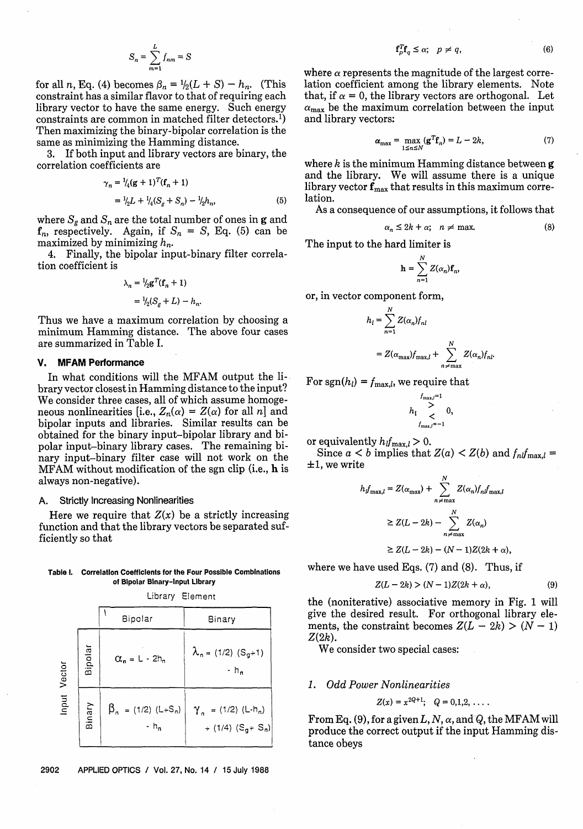$$
S_n = \sum_{m=1}^{L} f_{nm} = S
$$

for all n, Eq. (4) becomes  $\beta_n = \frac{1}{2}(L + S) - h_n$ . (This constraint has a similar flavor to that of requiring each library vector to have the same energy. Such energy constraints are common in matched filter detectors.<sup>1</sup>) Then maximizing the binary-bipolar correlation is the same as minimizing the Hamming distance.

**3.** If both input and library vectors are binary, the correlation coefficients are

$$
\gamma_n = \frac{1}{4} (g+1)^T (f_n+1)
$$
  
=  $\frac{1}{2} L + \frac{1}{4} (S_g + S_n) - \frac{1}{2} h_n,$  (5)

where  $S_g$  and  $S_n$  are the total number of ones in g and  $f_n$ , respectively. Again, if  $S_n = S$ , Eq. (5) can be maximized by minimizing  $h_n$ .

4. Finally, the bipolar input-binary filter correlation coefficient is

$$
\lambda_n = \frac{1}{2} \mathbf{g}^T (\mathbf{f}_n + 1)
$$

$$
= \frac{1}{2} (S_n + L) - h.
$$

Thus we have a maximum correlation by choosing a minimum Hamming distance. The above four cases are summarized in Table I.

# **V. MFAM Performance**

In what conditions will the MFAM output the library vector closest in Hamming distance to the input? We consider three cases, all of which assume homogeneous nonlinearities [i.e.,  $Z_n(\alpha) = Z(\alpha)$  for all n] and bipolar inputs and libraries. Similar results can be obtained for the binary input-bipolar library and bipolar input-binary library cases. The remaining binary input-binary filter case will not work on the MFAM without modification of the sgn clip (i.e., h is always non-negative).

## A. Strictly Increasing Nonlinearities

Here we require that  $Z(x)$  be a strictly increasing function and that the library vectors be separated sufficiently so that

#### **Table I. Correlation Coefficients for the Four Possible Combinations of Bipolar Binary-Input Library**

Library Element

|                  |         | Bipolar                               | Binary                                                |
|------------------|---------|---------------------------------------|-------------------------------------------------------|
| Vector<br>linput | Bipolar | $\alpha_n = L - 2h_n$                 | $\lambda_n = (1/2) (S_g + 1)$<br>$-h_n$               |
|                  | Binary  | $\beta_n = (1/2) (L + S_n)$<br>$-h_n$ | $\gamma_n = (1/2) (L - h_n)$<br>+ (1/4) $(S_q + S_n)$ |

2902 **APPLIED OPTICS** I **Vol. 27, No. 14** I **15 July 1988** 

$$
\mathbf{f}_p^T \mathbf{f}_q \le \alpha; \quad p \ne q,\tag{6}
$$

where  $\alpha$  represents the magnitude of the largest correlation coefficient among the library elements. Note that, if  $\alpha = 0$ , the library vectors are orthogonal. Let  $\alpha_{\text{max}}$  be the maximum correlation between the input and library vectors:

$$
\alpha_{\max} = \max_{1 \le n \le N} (\mathbf{g}^T \mathbf{f}_n) = L - 2k,\tag{7}
$$

where k is the minimum Hamming distance between  $g$ and the library. We will assume there is a unique library vector  $f_{\text{max}}$  that results in this maximum correlation.

As a consequence of our assumptions, it follows that

$$
\alpha_n \le 2k + \alpha; \quad n \ne \max. \tag{8}
$$

The input to the hard limiter is

$$
\mathbf{h} = \sum_{n=1}^{N} Z(\alpha_n) \mathbf{f}_n,
$$

or, in vector component form,

$$
h_l = \sum_{n=1}^{N} Z(\alpha_n) f_{nl}
$$
  
=  $Z(\alpha_{\text{max}}) f_{\text{max},l} + \sum_{n \neq \text{max}}^{N} Z(\alpha_n) f_{nl}.$ 

For sgn( $h_l$ ) =  $f_{\text{max},l}$ , we require that

$$
h_l \sum_{f_{\max,l}=-1}^{f_{\max,l}=1} 0,
$$

or equivalently  $h_i f_{\text{max},i} > 0$ .

Since  $a < b$  implies that  $Z(a) < Z(b)$  and  $f_{nl}f_{\text{max},l} =$  $\pm 1$ , we write

$$
h_f_{\max,l} = Z(\alpha_{\max}) + \sum_{n \neq \max}^{N} Z(\alpha_n) f_n f_{\max,l}
$$
  
\n
$$
\geq Z(L - 2k) - \sum_{n \neq \max}^{N} Z(\alpha_n)
$$
  
\n
$$
\geq Z(L - 2k) - (N - 1)Z(2k + \alpha),
$$

where we have used Eqs. (7) and (8). Thus, if

$$
Z(L - 2k) > (N - 1)Z(2k + \alpha),
$$
 (9)

the (noniterative) associative memory in Fig, 1 will give the desired result. For orthogonal library elements, the constraint becomes  $Z(L - 2k) > (N - 1)$  $Z(2k)$ .

We consider two special cases:

#### 1. Odd Power Nonlinearities

$$
Z(x) = x^{2Q+1}; \quad Q = 0,1,2,\ldots.
$$

From Eq. (9), for a given L, N,  $\alpha$ , and Q, the MFAM will produce the correct output if the input Hamming distance obeys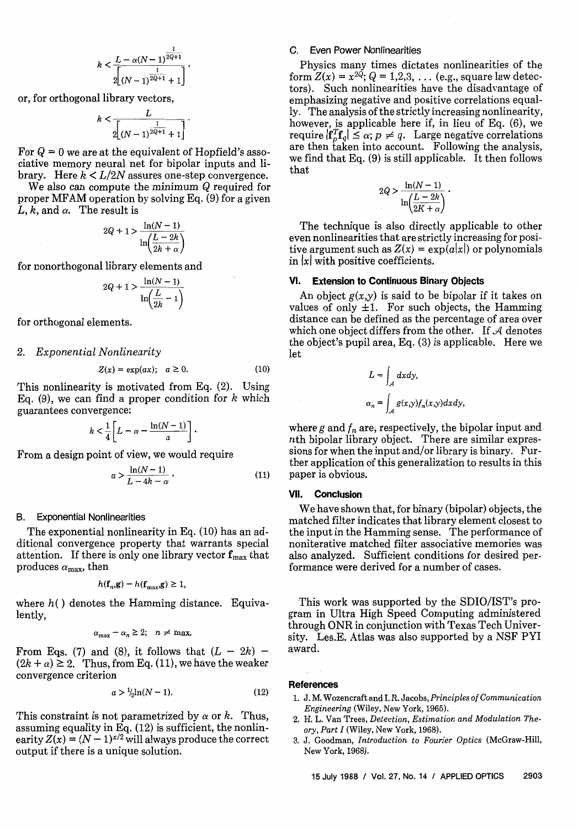$$
k < \frac{L - \alpha (N-1)^{\frac{1}{2Q+1}}}{2\left[(N-1)^{\frac{1}{2Q+1}}+1\right]}
$$

or, for orthogonal library vectors,

$$
k<\frac{L}{2\left[(N-1)^{\frac{1}{2Q+1}}+1\right]}
$$

For  $Q = 0$  we are at the equivalent of Hopfield's associative memory neural net for bipolar inputs and library. Here  $k \le L/2N$  assures one-step convergence.

We also can compute the minimum Q required for proper MFAM operation by solving Eq. (9) for a given L, k, and  $\alpha$ . The result is

$$
2Q + 1 > \frac{\ln(N-1)}{\ln(\frac{L-2k}{2k+\alpha})}
$$

for nonorthogonal library elements and

$$
2Q + 1 > \frac{\ln(N-1)}{\ln(\frac{L}{2k} - 1)}
$$

for orthogonal elements.

2. Exponential Nonlinearity

$$
Z(x) = \exp(ax); \quad a \ge 0. \tag{10}
$$

This nonlinearity is motivated from Eq. (2). Using Eq. (9), we can find a proper condition for  $k$  which guarantees convergence:

$$
k<\frac{1}{4}\bigg[L-\alpha-\frac{\ln(N-1)}{a}\bigg]\,\cdot
$$

From a design point of view, we would require

$$
a > \frac{\ln(N-1)}{L - 4k - \alpha} \tag{11}
$$

#### B. Exponential Nonlinearities

The exponential nonlinearity in Eq. (10) has an additional convergence property that warrants special attention. If there is only one library vector  $f_{\text{max}}$  that produces  $\alpha_{\text{max}}$ , then

$$
h(\mathbf{f}_n, \mathbf{g}) - h(\mathbf{f}_{\text{max}}, \mathbf{g}) \ge 1,
$$

where  $h()$  denotes the Hamming distance. Equivalently,

$$
\alpha_{\text{max}} - \alpha_n \geq 2; \quad n \neq \text{max}.
$$

From Eqs. (7) and (8), it follows that  $(L - 2k) - (2k + \alpha) \geq 2$ . Thus, from Eq. (11), we have the weaker convergence criterion

$$
a > \frac{1}{2} \ln(N - 1). \tag{12}
$$

This constraint is not parametrized by  $\alpha$  or k. Thus, assuming equality in Eq. (12) is sufficient, the nonlinearity  $Z(x) = (N-1)^{x/2}$  will always produce the correct output if there is a unique solution.

#### C. Even Power Nonlinearities

Physics many times dictates nonlinearities of the form  $Z(x) = x^{2\tilde{Q}}$ ;  $Q = 1,2,3,...$  (e.g., square law detectors). Such nonlinearities have the disadvantage of emphasizing negative and positive correlations equally. The analysis of the strictly increasing nonlinearity, however, is applicable here if, in lieu of Eq. (6), we require  $|\mathbf{f}_n^T\mathbf{f}_q| \leq \alpha$ ;  $p \neq q$ . Large negative correlations are then taken into account. Following the analysis, we find that Eq. (9) is still applicable. It then folIows that

$$
2Q > \frac{\ln(N-1)}{\ln\left(\frac{L-2k}{2K+\alpha}\right)}.
$$

The technique is also directly applicable to other even nonlinearities that are strictly increasing for positive argument such as  $Z(x) = \exp(a|x|)$  or polynomials in  $|x|$  with positive coefficients.

# **VI. Extension to Continuous Binary Objects**

An object  $g(x,y)$  is said to be bipolar if it takes on values of only  $\pm 1$ . For such objects, the Hamming distance can be defined as the percentage of area over which one object differs from the other. If  $A$  denotes the object's pupil area, Eq. (3) is applicable. Here we let

$$
L = \int_{\mathcal{A}} dx dy,
$$
  

$$
\alpha_n = \int_{\mathcal{A}} g(x, y) f_n(x, y) dx dy
$$

where g and  $f_n$  are, respectively, the bipolar input and. nth bipolar library object. There are similar expressions for when the input and/or library is binary. Further application of this generalization to results in this paper is obvious.

# **VII. Conclusion**

We have shown that, for binary (bipolar) objects, the matched filter indicates that library element closest to the input in the Hamming sense. The performance of noniterative matched filter associative memories was also analyzed. Sufficient conditions for desired performance were derived for a number of cases.

This work was supported by the SDIO/IST's program in Ultra High Speed Computing administered through ONR in conjunction with Texas Tech University. Les.E. Atlas was also supported by a NSF PYI award.

#### **References**

- 1. J. M. Wozencraft and I. R. Jacobs, Principles of Communication Engineering (Wiley, New York, 1965).
- **2.** H. L. Van Trees, Detection, Estimation and Modulation Theory, Part I (Wiley, New York, 1968).
- **3.** J. Goodman, Introduction to Fourier Optics (McGraw-Hill, New York, 1968).